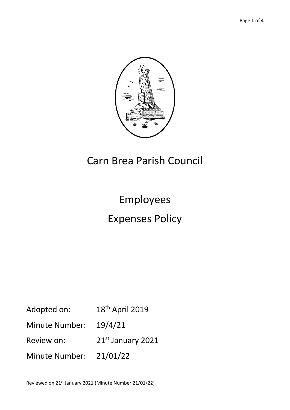

# Carn Brea Parish Council

# Employees Expenses Policy

Adopted on: 18<sup>th</sup> April 2019 Minute Number: 19/4/21 Review on: 21st January 2021 Minute Number: 21/01/22

Reviewed on 21st January 2021 (Minute Number 21/01/22)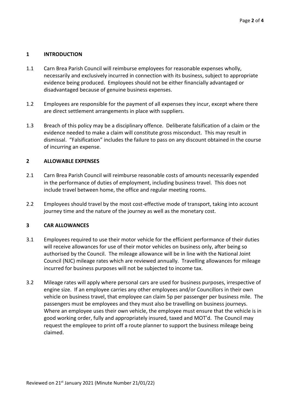#### **1 INTRODUCTION**

- 1.1 Carn Brea Parish Council will reimburse employees for reasonable expenses wholly, necessarily and exclusively incurred in connection with its business, subject to appropriate evidence being produced. Employees should not be either financially advantaged or disadvantaged because of genuine business expenses.
- 1.2 Employees are responsible for the payment of all expenses they incur, except where there are direct settlement arrangements in place with suppliers.
- 1.3 Breach of this policy may be a disciplinary offence. Deliberate falsification of a claim or the evidence needed to make a claim will constitute gross misconduct. This may result in dismissal. "Falsification" includes the failure to pass on any discount obtained in the course of incurring an expense.

#### **2 ALLOWABLE EXPENSES**

- 2.1 Carn Brea Parish Council will reimburse reasonable costs of amounts necessarily expended in the performance of duties of employment, including business travel. This does not include travel between home, the office and regular meeting rooms.
- 2.2 Employees should travel by the most cost-effective mode of transport, taking into account journey time and the nature of the journey as well as the monetary cost.

#### **3 CAR ALLOWANCES**

- 3.1 Employees required to use their motor vehicle for the efficient performance of their duties will receive allowances for use of their motor vehicles on business only, after being so authorised by the Council. The mileage allowance will be in line with the National Joint Council (NJC) mileage rates which are reviewed annually. Travelling allowances for mileage incurred for business purposes will not be subjected to income tax.
- 3.2 Mileage rates will apply where personal cars are used for business purposes, irrespective of engine size. If an employee carries any other employees and/or Councillors in their own vehicle on business travel, that employee can claim 5p per passenger per business mile. The passengers must be employees and they must also be travelling on business journeys. Where an employee uses their own vehicle, the employee must ensure that the vehicle is in good working order, fully and appropriately insured, taxed and MOT'd. The Council may request the employee to print off a route planner to support the business mileage being claimed.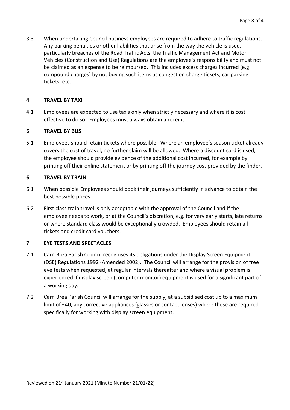3.3 When undertaking Council business employees are required to adhere to traffic regulations. Any parking penalties or other liabilities that arise from the way the vehicle is used, particularly breaches of the Road Traffic Acts, the Traffic Management Act and Motor Vehicles (Construction and Use) Regulations are the employee's responsibility and must not be claimed as an expense to be reimbursed. This includes excess charges incurred (e.g. compound charges) by not buying such items as congestion charge tickets, car parking tickets, etc.

#### **4 TRAVEL BY TAXI**

4.1 Employees are expected to use taxis only when strictly necessary and where it is cost effective to do so. Employees must always obtain a receipt.

#### **5 TRAVEL BY BUS**

5.1 Employees should retain tickets where possible. Where an employee's season ticket already covers the cost of travel, no further claim will be allowed. Where a discount card is used, the employee should provide evidence of the additional cost incurred, for example by printing off their online statement or by printing off the journey cost provided by the finder.

#### **6 TRAVEL BY TRAIN**

- 6.1 When possible Employees should book their journeys sufficiently in advance to obtain the best possible prices.
- 6.2 First class train travel is only acceptable with the approval of the Council and if the employee needs to work, or at the Council's discretion, e.g. for very early starts, late returns or where standard class would be exceptionally crowded. Employees should retain all tickets and credit card vouchers.

### **7 EYE TESTS AND SPECTACLES**

- 7.1 Carn Brea Parish Council recognises its obligations under the Display Screen Equipment (DSE) Regulations 1992 (Amended 2002). The Council will arrange for the provision of free eye tests when requested, at regular intervals thereafter and where a visual problem is experienced if display screen (computer monitor) equipment is used for a significant part of a working day.
- 7.2 Carn Brea Parish Council will arrange for the supply, at a subsidised cost up to a maximum limit of £40, any corrective appliances (glasses or contact lenses) where these are required specifically for working with display screen equipment.